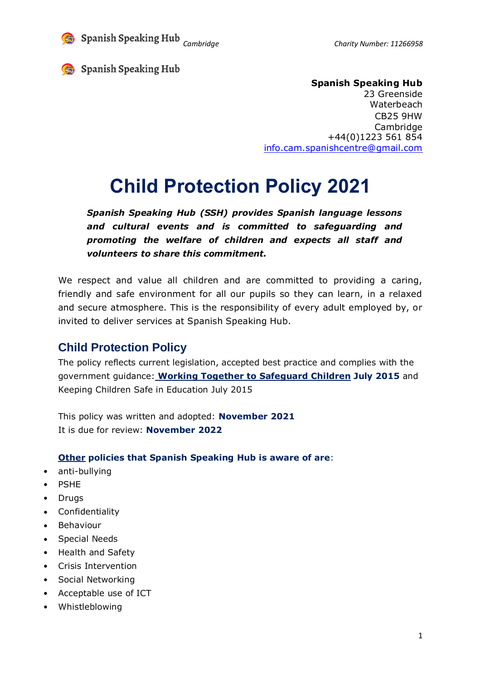

*Cambridge Cambridge Cambridge Charity Number: 11266958* 

Spanish Speaking Hub

#### **Spanish Speaking Hub**

23 Greenside **Waterbeach** CB25 9HW Cambridge +44(0)1223 561 854 [info.cam.spanishcentre@gmail.com](mailto:info.cam.spanishcentre@gmail.com)

# **Child Protection Policy 2021**

*Spanish Speaking Hub (SSH) provides Spanish language lessons and cultural events and is committed to safeguarding and promoting the welfare of children and expects all staff and volunteers to share this commitment.*

We respect and value all children and are committed to providing a caring, friendly and safe environment for all our pupils so they can learn, in a relaxed and secure atmosphere. This is the responsibility of every adult employed by, or invited to deliver services at Spanish Speaking Hub.

# **Child Protection Policy**

The policy reflects current legislation, accepted best practice and complies with the government guidance: **Working Together to [Safeguard](http://www.proceduresonline.com/workingtogether/) Children July 2015** and Keeping Children Safe in Education July 2015

This policy was written and adopted: **November 2021** It is due for review: **November 2022**

#### **Other policies that Spanish Speaking Hub is aware of are**:

- anti-bullying
- PSHE
- Drugs
- Confidentiality
- Behaviour
- Special Needs
- Health and Safety
- Crisis Intervention
- Social Networking
- Acceptable use of ICT
- Whistleblowing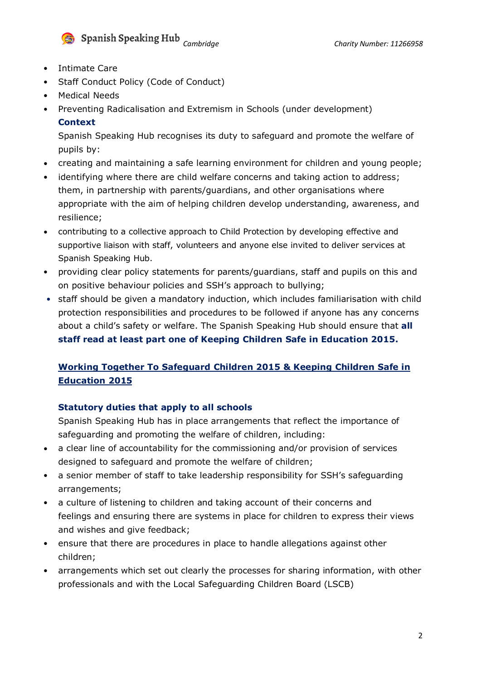

- Intimate Care
- Staff Conduct Policy (Code of Conduct)
- Medical Needs
- Preventing Radicalisation and Extremism in Schools (under development) **Context**

Spanish Speaking Hub recognises its duty to safeguard and promote the welfare of pupils by:

- creating and maintaining a safe learning environment for children and young people;
- identifying where there are child welfare concerns and taking action to address; them, in partnership with parents/guardians, and other organisations where appropriate with the aim of helping children develop understanding, awareness, and resilience;
- contributing to a collective approach to Child Protection by developing effective and supportive liaison with staff, volunteers and anyone else invited to deliver services at Spanish Speaking Hub.
- providing clear policy statements for parents/guardians, staff and pupils on this and on positive behaviour policies and SSH's approach to bullying;
- staff should be given a mandatory induction, which includes familiarisation with child protection responsibilities and procedures to be followed if anyone has any concerns about a child's safety or welfare. The Spanish Speaking Hub should ensure that **all staff read at least part one of Keeping Children Safe in Education 2015.**

# **Working Together To Safeguard Children 2015 & Keeping Children Safe in Education 2015**

#### **Statutory duties that apply to all schools**

Spanish Speaking Hub has in place arrangements that reflect the importance of safeguarding and promoting the welfare of children, including:

- a clear line of accountability for the commissioning and/or provision of services designed to safeguard and promote the welfare of children;
- a senior member of staff to take leadership responsibility for SSH's safeguarding arrangements;
- a culture of listening to children and taking account of their concerns and feelings and ensuring there are systems in place for children to express their views and wishes and give feedback;
- ensure that there are procedures in place to handle allegations against other children;
- arrangements which set out clearly the processes for sharing information, with other professionals and with the Local Safeguarding Children Board (LSCB)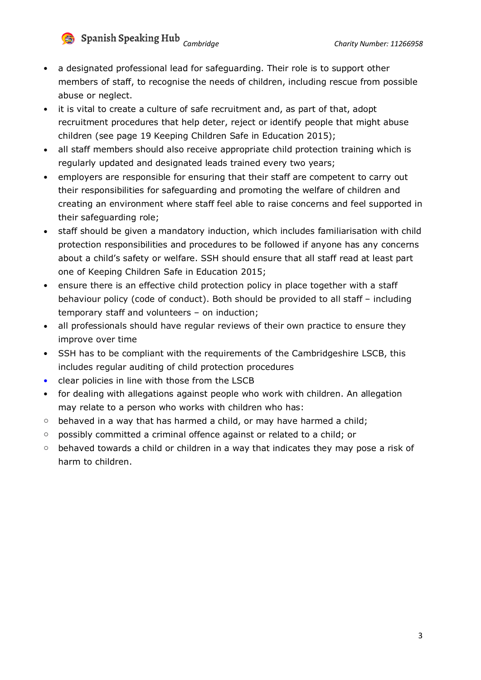

- a designated professional lead for safeguarding. Their role is to support other members of staff, to recognise the needs of children, including rescue from possible abuse or neglect.
- it is vital to create a culture of safe recruitment and, as part of that, adopt recruitment procedures that help deter, reject or identify people that might abuse children (see page 19 Keeping Children Safe in Education 2015);
- all staff members should also receive appropriate child protection training which is regularly updated and designated leads trained every two years;
- employers are responsible for ensuring that their staff are competent to carry out their responsibilities for safeguarding and promoting the welfare of children and creating an environment where staff feel able to raise concerns and feel supported in their safeguarding role;
- staff should be given a mandatory induction, which includes familiarisation with child protection responsibilities and procedures to be followed if anyone has any concerns about a child's safety or welfare. SSH should ensure that all staff read at least part one of Keeping Children Safe in Education 2015;
- ensure there is an effective child protection policy in place together with a staff behaviour policy (code of conduct). Both should be provided to all staff – including temporary staff and volunteers – on induction;
- all professionals should have regular reviews of their own practice to ensure they improve over time
- SSH has to be compliant with the requirements of the Cambridgeshire LSCB, this includes regular auditing of child protection procedures
- clear policies in line with those from the LSCB
- for dealing with allegations against people who work with children. An allegation may relate to a person who works with children who has:
- $\circ$  behaved in a way that has harmed a child, or may have harmed a child;
- o possibly committed a criminal offence against or related to a child; or
- o behaved towards a child or children in a way that indicates they may pose a risk of harm to children.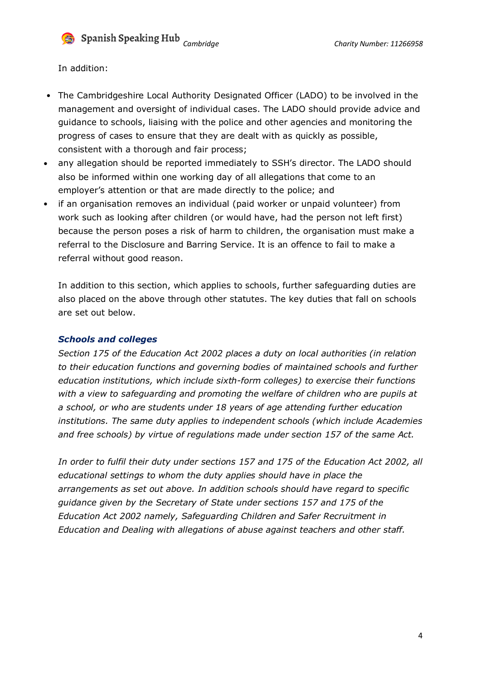**Cambridge Charity Number: 11266958** 

In addition:

- The Cambridgeshire Local Authority Designated Officer (LADO) to be involved in the management and oversight of individual cases. The LADO should provide advice and guidance to schools, liaising with the police and other agencies and monitoring the progress of cases to ensure that they are dealt with as quickly as possible, consistent with a thorough and fair process;
- any allegation should be reported immediately to SSH's director. The LADO should also be informed within one working day of all allegations that come to an employer's attention or that are made directly to the police; and
- if an organisation removes an individual (paid worker or unpaid volunteer) from work such as looking after children (or would have, had the person not left first) because the person poses a risk of harm to children, the organisation must make a referral to the Disclosure and Barring Service. It is an offence to fail to make a referral without good reason.

In addition to this section, which applies to schools, further safeguarding duties are also placed on the above through other statutes. The key duties that fall on schools are set out below.

#### *Schools and colleges*

*Section 175 of the Education Act 2002 places a duty on local authorities (in relation to their education functions and governing bodies of maintained schools and further education institutions, which include sixth-form colleges) to exercise their functions with a view to safeguarding and promoting the welfare of children who are pupils at a school, or who are students under 18 years of age attending further education institutions. The same duty applies to independent schools (which include Academies and free schools) by virtue of regulations made under section 157 of the same Act.*

*In order to fulfil their duty under sections 157 and 175 of the Education Act 2002, all educational settings to whom the duty applies should have in place the arrangements as set out above. In addition schools should have regard to specific guidance given by the Secretary of State under sections 157 and 175 of the Education Act 2002 namely, Safeguarding Children and Safer Recruitment in Education and Dealing with allegations of abuse against teachers and other staff.*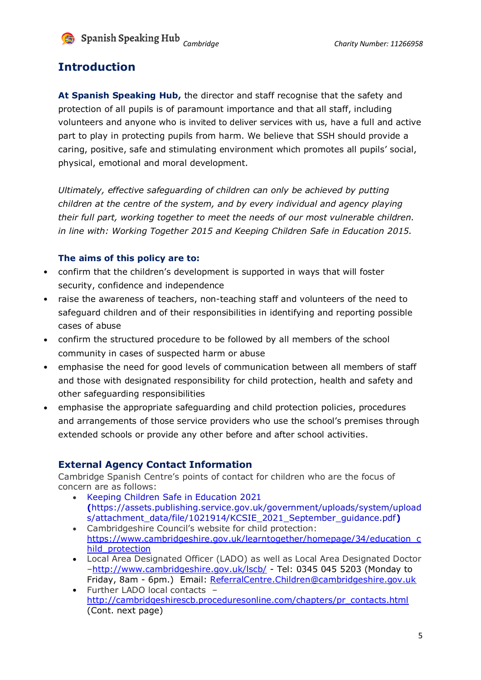

**Cambridge Charity Number: 11266958** 

### **Introduction**

**At Spanish Speaking Hub,** the director and staff recognise that the safety and protection of all pupils is of paramount importance and that all staff, including volunteers and anyone who is invited to deliver services with us, have a full and active part to play in protecting pupils from harm. We believe that SSH should provide a caring, positive, safe and stimulating environment which promotes all pupils' social, physical, emotional and moral development.

*Ultimately, effective safeguarding of children can only be achieved by putting children at the centre of the system, and by every individual and agency playing their full part, working together to meet the needs of our most vulnerable children. in line with: Working Together 2015 and Keeping Children Safe in Education 2015.*

#### **The aims of this policy are to:**

- confirm that the children's development is supported in ways that will foster security, confidence and independence
- raise the awareness of teachers, non-teaching staff and volunteers of the need to safeguard children and of their responsibilities in identifying and reporting possible cases of abuse
- confirm the structured procedure to be followed by all members of the school community in cases of suspected harm or abuse
- emphasise the need for good levels of communication between all members of staff and those with designated responsibility for child protection, health and safety and other safeguarding responsibilities
- emphasise the appropriate safeguarding and child protection policies, procedures and arrangements of those service providers who use the school's premises through extended schools or provide any other before and after school activities.

#### **External Agency Contact Information**

Cambridge Spanish Centre's points of contact for children who are the focus of concern are as follows:

- Keeping Children Safe in Education 2021 **(**https://assets.publishing.service.gov.uk/government/uploads/system/upload s/attachment\_data/file/1021914/KCSIE\_2021\_September\_guidance.pdf**)**
- Cambridgeshire Council's website for child protection: [https://www.cambridgeshire.gov.uk/learntogether/homepage/34/education\\_c](https://www.cambridgeshire.gov.uk/learntogether/homepage/34/education_child_protection) [hild\\_protection](https://www.cambridgeshire.gov.uk/learntogether/homepage/34/education_child_protection)
- Local Area Designated Officer (LADO) as well as Local Area Designated Doctor –<http://www.cambridgeshire.gov.uk/lscb/> - Tel: 0345 045 5203 (Monday to Friday, 8am - 6pm.) Email: [ReferralCentre.Children@cambridgeshire.gov.uk](mailto:ReferralCentre.Children@cambridgeshire.gov.uk)
- Further LADO local contacts [http://cambridgeshirescb.proceduresonline.com/chapters/pr\\_contacts.html](http://cambridgeshirescb.proceduresonline.com/chapters/pr_contacts.html) (Cont. next page)